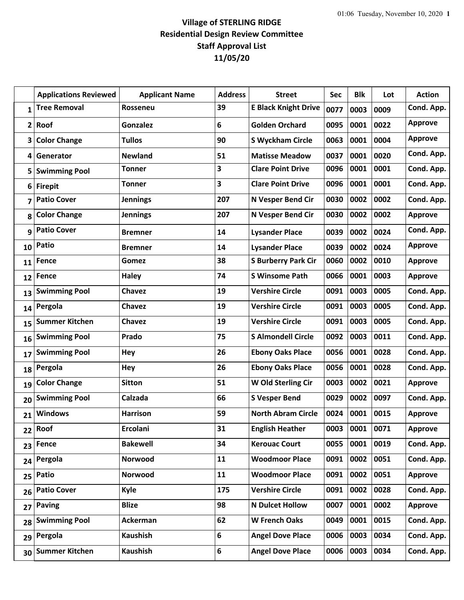## **Village of STERLING RIDGE Residential Design Review Committee Staff Approval List 11/05/20**

|              | <b>Applications Reviewed</b> | <b>Applicant Name</b> | <b>Address</b>          | <b>Street</b>               | <b>Sec</b> | <b>Blk</b> | Lot  | <b>Action</b>  |
|--------------|------------------------------|-----------------------|-------------------------|-----------------------------|------------|------------|------|----------------|
| $\mathbf{1}$ | <b>Tree Removal</b>          | <b>Rosseneu</b>       | 39                      | <b>E Black Knight Drive</b> | 0077       | 0003       | 0009 | Cond. App.     |
| $\mathbf{2}$ | Roof                         | <b>Gonzalez</b>       | 6                       | <b>Golden Orchard</b>       | 0095       | 0001       | 0022 | <b>Approve</b> |
| 3            | <b>Color Change</b>          | <b>Tullos</b>         | 90                      | <b>S Wyckham Circle</b>     | 0063       | 0001       | 0004 | <b>Approve</b> |
| 4            | Generator                    | <b>Newland</b>        | 51                      | <b>Matisse Meadow</b>       | 0037       | 0001       | 0020 | Cond. App.     |
| 5            | <b>Swimming Pool</b>         | <b>Tonner</b>         | $\overline{\mathbf{3}}$ | <b>Clare Point Drive</b>    | 0096       | 0001       | 0001 | Cond. App.     |
| 6            | <b>Firepit</b>               | <b>Tonner</b>         | 3                       | <b>Clare Point Drive</b>    | 0096       | 0001       | 0001 | Cond. App.     |
| 7            | <b>Patio Cover</b>           | <b>Jennings</b>       | 207                     | N Vesper Bend Cir           | 0030       | 0002       | 0002 | Cond. App.     |
| 8            | <b>Color Change</b>          | <b>Jennings</b>       | 207                     | N Vesper Bend Cir           | 0030       | 0002       | 0002 | <b>Approve</b> |
| 9            | <b>Patio Cover</b>           | <b>Bremner</b>        | 14                      | <b>Lysander Place</b>       | 0039       | 0002       | 0024 | Cond. App.     |
| 10           | Patio                        | <b>Bremner</b>        | 14                      | <b>Lysander Place</b>       | 0039       | 0002       | 0024 | <b>Approve</b> |
| 11           | Fence                        | Gomez                 | 38                      | <b>S Burberry Park Cir</b>  | 0060       | 0002       | 0010 | <b>Approve</b> |
| 12           | <b>Fence</b>                 | <b>Haley</b>          | 74                      | <b>S Winsome Path</b>       | 0066       | 0001       | 0003 | <b>Approve</b> |
| 13           | <b>Swimming Pool</b>         | Chavez                | 19                      | <b>Vershire Circle</b>      | 0091       | 0003       | 0005 | Cond. App.     |
| 14           | Pergola                      | <b>Chavez</b>         | 19                      | <b>Vershire Circle</b>      | 0091       | 0003       | 0005 | Cond. App.     |
| 15           | <b>Summer Kitchen</b>        | <b>Chavez</b>         | 19                      | <b>Vershire Circle</b>      | 0091       | 0003       | 0005 | Cond. App.     |
| 16           | <b>Swimming Pool</b>         | Prado                 | 75                      | <b>S Almondell Circle</b>   | 0092       | 0003       | 0011 | Cond. App.     |
| 17           | <b>Swimming Pool</b>         | Hey                   | 26                      | <b>Ebony Oaks Place</b>     | 0056       | 0001       | 0028 | Cond. App.     |
| 18           | Pergola                      | Hey                   | 26                      | <b>Ebony Oaks Place</b>     | 0056       | 0001       | 0028 | Cond. App.     |
| 19           | <b>Color Change</b>          | <b>Sitton</b>         | 51                      | W Old Sterling Cir          | 0003       | 0002       | 0021 | <b>Approve</b> |
| 20           | <b>Swimming Pool</b>         | Calzada               | 66                      | <b>S Vesper Bend</b>        | 0029       | 0002       | 0097 | Cond. App.     |
| 21           | <b>Windows</b>               | <b>Harrison</b>       | 59                      | <b>North Abram Circle</b>   | 0024       | 0001       | 0015 | <b>Approve</b> |
| 22           | Roof                         | Ercolani              | 31                      | <b>English Heather</b>      | 0003       | 0001       | 0071 | <b>Approve</b> |
| 23           | <b>Fence</b>                 | <b>Bakewell</b>       | 34                      | <b>Kerouac Court</b>        | 0055       | 0001       | 0019 | Cond. App.     |
| 24           | Pergola                      | Norwood               | 11                      | <b>Woodmoor Place</b>       | 0091       | 0002       | 0051 | Cond. App.     |
| 25           | Patio                        | Norwood               | 11                      | <b>Woodmoor Place</b>       | 0091       | 0002       | 0051 | Approve        |
| 26           | <b>Patio Cover</b>           | Kyle                  | 175                     | <b>Vershire Circle</b>      | 0091       | 0002       | 0028 | Cond. App.     |
| 27           | <b>Paving</b>                | <b>Blize</b>          | 98                      | <b>N Dulcet Hollow</b>      | 0007       | 0001       | 0002 | <b>Approve</b> |
| 28           | <b>Swimming Pool</b>         | Ackerman              | 62                      | <b>W French Oaks</b>        | 0049       | 0001       | 0015 | Cond. App.     |
| 29           | Pergola                      | <b>Kaushish</b>       | 6                       | <b>Angel Dove Place</b>     | 0006       | 0003       | 0034 | Cond. App.     |
| 30           | <b>Summer Kitchen</b>        | <b>Kaushish</b>       | 6                       | <b>Angel Dove Place</b>     | 0006       | 0003       | 0034 | Cond. App.     |